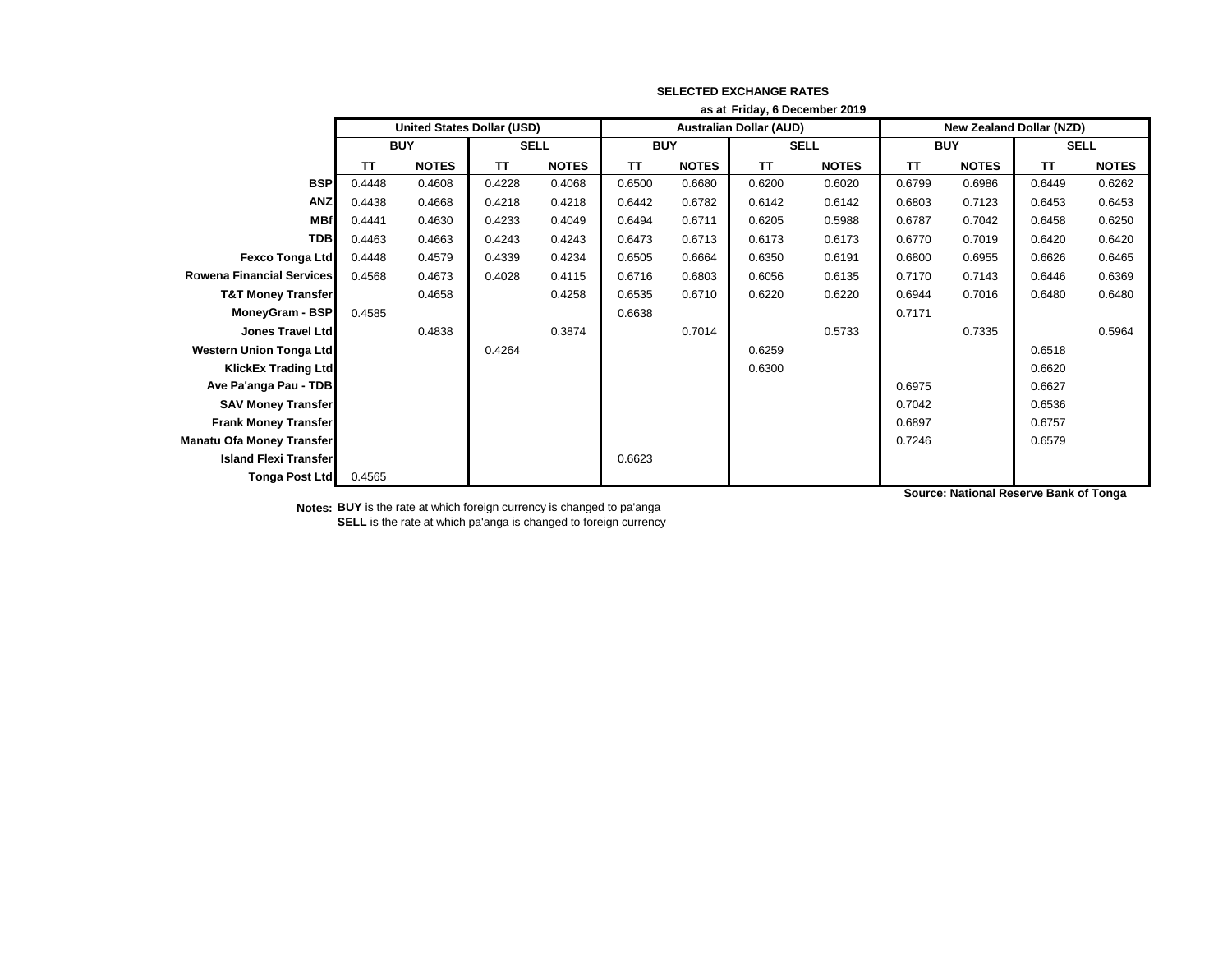|                                  | as at Friday, 6 December 2019     |              |             |              |                                |              |             |              |                                 |              |             |              |
|----------------------------------|-----------------------------------|--------------|-------------|--------------|--------------------------------|--------------|-------------|--------------|---------------------------------|--------------|-------------|--------------|
|                                  | <b>United States Dollar (USD)</b> |              |             |              | <b>Australian Dollar (AUD)</b> |              |             |              | <b>New Zealand Dollar (NZD)</b> |              |             |              |
|                                  | <b>BUY</b>                        |              | <b>SELL</b> |              | <b>BUY</b>                     |              | <b>SELL</b> |              | <b>BUY</b>                      |              | <b>SELL</b> |              |
|                                  | TΤ                                | <b>NOTES</b> | TΤ          | <b>NOTES</b> | TT                             | <b>NOTES</b> | <b>TT</b>   | <b>NOTES</b> | TΤ                              | <b>NOTES</b> | <b>TT</b>   | <b>NOTES</b> |
| <b>BSP</b>                       | 0.4448                            | 0.4608       | 0.4228      | 0.4068       | 0.6500                         | 0.6680       | 0.6200      | 0.6020       | 0.6799                          | 0.6986       | 0.6449      | 0.6262       |
| <b>ANZ</b>                       | 0.4438                            | 0.4668       | 0.4218      | 0.4218       | 0.6442                         | 0.6782       | 0.6142      | 0.6142       | 0.6803                          | 0.7123       | 0.6453      | 0.6453       |
| <b>MBf</b>                       | 0.4441                            | 0.4630       | 0.4233      | 0.4049       | 0.6494                         | 0.6711       | 0.6205      | 0.5988       | 0.6787                          | 0.7042       | 0.6458      | 0.6250       |
| <b>TDB</b>                       | 0.4463                            | 0.4663       | 0.4243      | 0.4243       | 0.6473                         | 0.6713       | 0.6173      | 0.6173       | 0.6770                          | 0.7019       | 0.6420      | 0.6420       |
| <b>Fexco Tonga Ltd</b>           | 0.4448                            | 0.4579       | 0.4339      | 0.4234       | 0.6505                         | 0.6664       | 0.6350      | 0.6191       | 0.6800                          | 0.6955       | 0.6626      | 0.6465       |
| <b>Rowena Financial Services</b> | 0.4568                            | 0.4673       | 0.4028      | 0.4115       | 0.6716                         | 0.6803       | 0.6056      | 0.6135       | 0.7170                          | 0.7143       | 0.6446      | 0.6369       |
| <b>T&amp;T Money Transfer</b>    |                                   | 0.4658       |             | 0.4258       | 0.6535                         | 0.6710       | 0.6220      | 0.6220       | 0.6944                          | 0.7016       | 0.6480      | 0.6480       |
| MoneyGram - BSP                  | 0.4585                            |              |             |              | 0.6638                         |              |             |              | 0.7171                          |              |             |              |
| <b>Jones Travel Ltd</b>          |                                   | 0.4838       |             | 0.3874       |                                | 0.7014       |             | 0.5733       |                                 | 0.7335       |             | 0.5964       |
| <b>Western Union Tonga Ltd</b>   |                                   |              | 0.4264      |              |                                |              | 0.6259      |              |                                 |              | 0.6518      |              |
| <b>KlickEx Trading Ltd</b>       |                                   |              |             |              |                                |              | 0.6300      |              |                                 |              | 0.6620      |              |
| Ave Pa'anga Pau - TDB            |                                   |              |             |              |                                |              |             |              | 0.6975                          |              | 0.6627      |              |
| <b>SAV Money Transfer</b>        |                                   |              |             |              |                                |              |             |              | 0.7042                          |              | 0.6536      |              |
| <b>Frank Money Transfer</b>      |                                   |              |             |              |                                |              |             |              | 0.6897                          |              | 0.6757      |              |
| <b>Manatu Ofa Money Transfer</b> |                                   |              |             |              |                                |              |             |              | 0.7246                          |              | 0.6579      |              |
| <b>Island Flexi Transfer</b>     |                                   |              |             |              | 0.6623                         |              |             |              |                                 |              |             |              |
| <b>Tonga Post Ltd</b>            | 0.4565                            |              |             |              |                                |              |             |              |                                 |              |             |              |

**Notes: BUY** is the rate at which foreign currency is changed to pa'anga **SELL** is the rate at which pa'anga is changed to foreign currency **Source: National Reserve Bank of Tonga**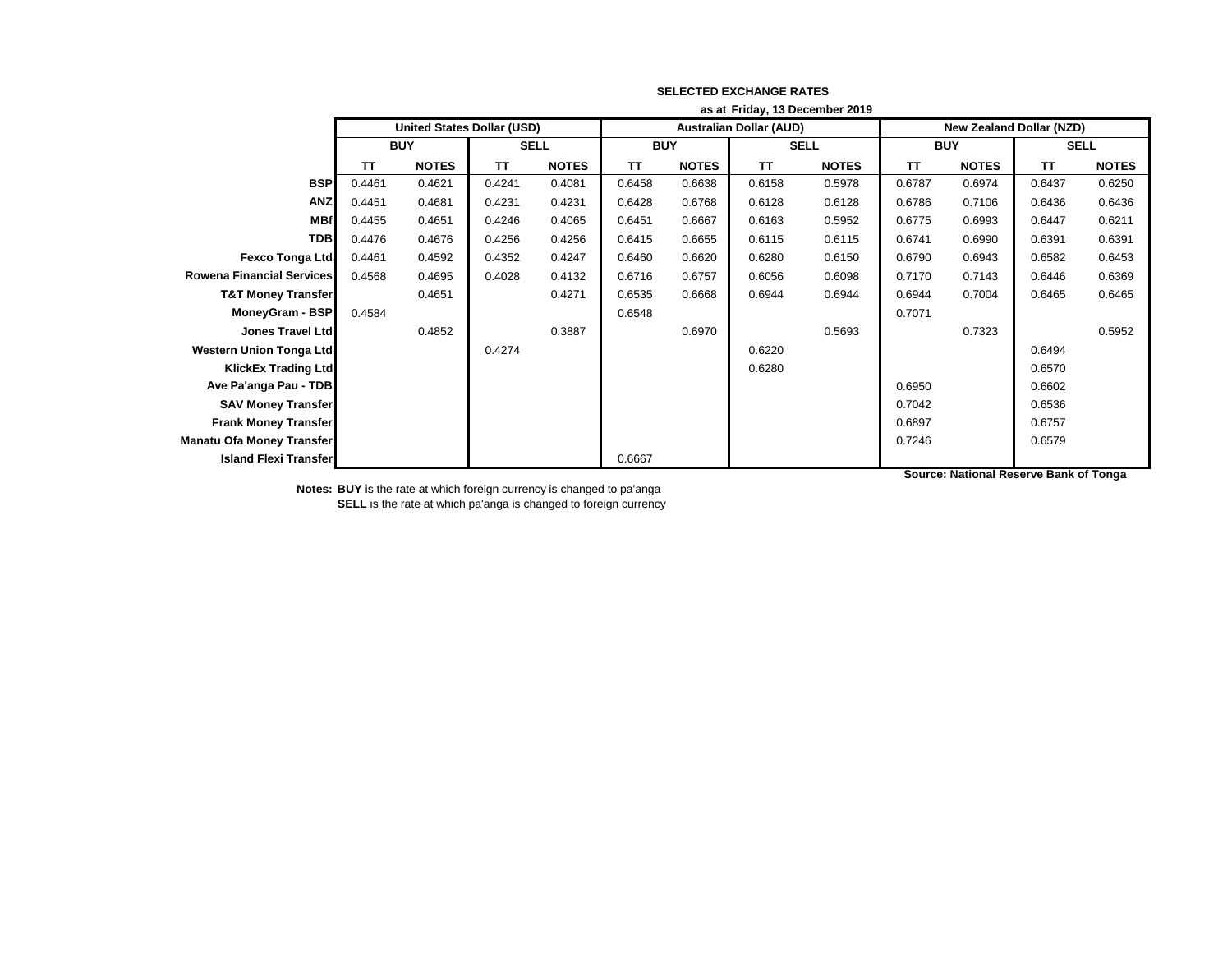|                                  | as at Friday, 13 December 2019    |              |             |              |            |              |                                |              |                                 |              |             |              |
|----------------------------------|-----------------------------------|--------------|-------------|--------------|------------|--------------|--------------------------------|--------------|---------------------------------|--------------|-------------|--------------|
|                                  | <b>United States Dollar (USD)</b> |              |             |              |            |              | <b>Australian Dollar (AUD)</b> |              | <b>New Zealand Dollar (NZD)</b> |              |             |              |
|                                  | <b>BUY</b>                        |              | <b>SELL</b> |              | <b>BUY</b> |              | <b>SELL</b>                    |              | <b>BUY</b>                      |              | <b>SELL</b> |              |
|                                  | ΤT                                | <b>NOTES</b> | TΤ          | <b>NOTES</b> | TΤ         | <b>NOTES</b> | TT                             | <b>NOTES</b> | <b>TT</b>                       | <b>NOTES</b> | TT          | <b>NOTES</b> |
| <b>BSP</b>                       | 0.4461                            | 0.4621       | 0.4241      | 0.4081       | 0.6458     | 0.6638       | 0.6158                         | 0.5978       | 0.6787                          | 0.6974       | 0.6437      | 0.6250       |
| <b>ANZ</b>                       | 0.4451                            | 0.4681       | 0.4231      | 0.4231       | 0.6428     | 0.6768       | 0.6128                         | 0.6128       | 0.6786                          | 0.7106       | 0.6436      | 0.6436       |
| <b>MBf</b>                       | 0.4455                            | 0.4651       | 0.4246      | 0.4065       | 0.6451     | 0.6667       | 0.6163                         | 0.5952       | 0.6775                          | 0.6993       | 0.6447      | 0.6211       |
| <b>TDB</b>                       | 0.4476                            | 0.4676       | 0.4256      | 0.4256       | 0.6415     | 0.6655       | 0.6115                         | 0.6115       | 0.6741                          | 0.6990       | 0.6391      | 0.6391       |
| <b>Fexco Tonga Ltd</b>           | 0.4461                            | 0.4592       | 0.4352      | 0.4247       | 0.6460     | 0.6620       | 0.6280                         | 0.6150       | 0.6790                          | 0.6943       | 0.6582      | 0.6453       |
| <b>Rowena Financial Services</b> | 0.4568                            | 0.4695       | 0.4028      | 0.4132       | 0.6716     | 0.6757       | 0.6056                         | 0.6098       | 0.7170                          | 0.7143       | 0.6446      | 0.6369       |
| <b>T&amp;T Money Transfer</b>    |                                   | 0.4651       |             | 0.4271       | 0.6535     | 0.6668       | 0.6944                         | 0.6944       | 0.6944                          | 0.7004       | 0.6465      | 0.6465       |
| <b>MoneyGram - BSP</b>           | 0.4584                            |              |             |              | 0.6548     |              |                                |              | 0.7071                          |              |             |              |
| <b>Jones Travel Ltd</b>          |                                   | 0.4852       |             | 0.3887       |            | 0.6970       |                                | 0.5693       |                                 | 0.7323       |             | 0.5952       |
| <b>Western Union Tonga Ltd</b>   |                                   |              | 0.4274      |              |            |              | 0.6220                         |              |                                 |              | 0.6494      |              |
| <b>KlickEx Trading Ltd</b>       |                                   |              |             |              |            |              | 0.6280                         |              |                                 |              | 0.6570      |              |
| Ave Pa'anga Pau - TDB            |                                   |              |             |              |            |              |                                |              | 0.6950                          |              | 0.6602      |              |
| <b>SAV Money Transfer</b>        |                                   |              |             |              |            |              |                                |              | 0.7042                          |              | 0.6536      |              |
| <b>Frank Money Transfer</b>      |                                   |              |             |              |            |              |                                |              | 0.6897                          |              | 0.6757      |              |
| <b>Manatu Ofa Money Transfer</b> |                                   |              |             |              |            |              |                                |              | 0.7246                          |              | 0.6579      |              |
| <b>Island Flexi Transfer</b>     |                                   |              |             |              | 0.6667     |              |                                |              |                                 |              |             |              |

**Source: National Reserve Bank of Tonga**

**Notes: BUY** is the rate at which foreign currency is changed to pa'anga

**SELL** is the rate at which pa'anga is changed to foreign currency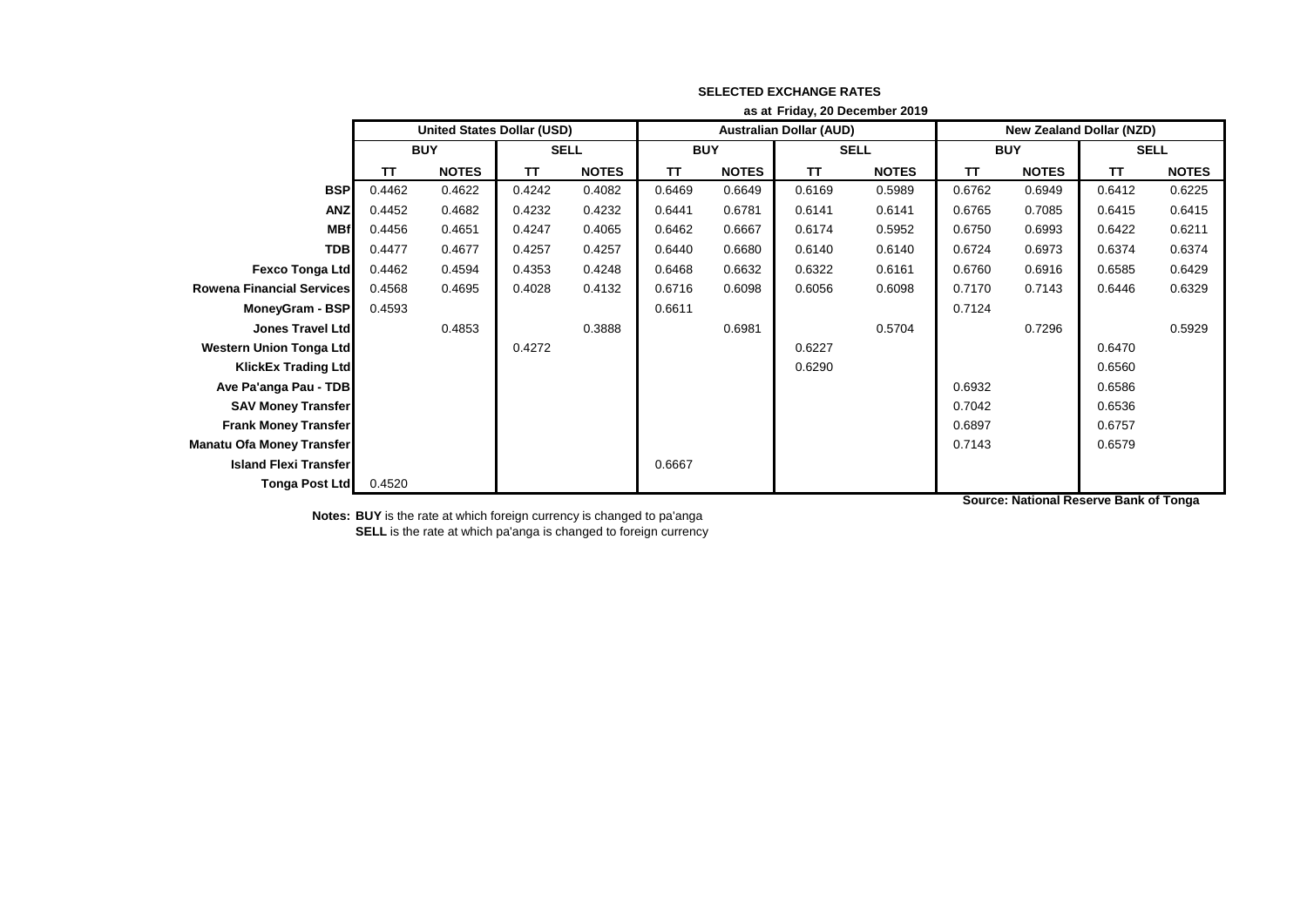|                                  | as at Friday, 20 December 2019    |              |             |              |                                |              |             |              |                          |              |             |              |
|----------------------------------|-----------------------------------|--------------|-------------|--------------|--------------------------------|--------------|-------------|--------------|--------------------------|--------------|-------------|--------------|
|                                  | <b>United States Dollar (USD)</b> |              |             |              | <b>Australian Dollar (AUD)</b> |              |             |              | New Zealand Dollar (NZD) |              |             |              |
|                                  | <b>BUY</b>                        |              | <b>SELL</b> |              | <b>BUY</b>                     |              | <b>SELL</b> |              | <b>BUY</b>               |              | <b>SELL</b> |              |
|                                  | <b>TT</b>                         | <b>NOTES</b> | TΤ          | <b>NOTES</b> | TΤ                             | <b>NOTES</b> | <b>TT</b>   | <b>NOTES</b> | TT                       | <b>NOTES</b> | TΤ          | <b>NOTES</b> |
| <b>BSP</b>                       | 0.4462                            | 0.4622       | 0.4242      | 0.4082       | 0.6469                         | 0.6649       | 0.6169      | 0.5989       | 0.6762                   | 0.6949       | 0.6412      | 0.6225       |
| <b>ANZ</b>                       | 0.4452                            | 0.4682       | 0.4232      | 0.4232       | 0.6441                         | 0.6781       | 0.6141      | 0.6141       | 0.6765                   | 0.7085       | 0.6415      | 0.6415       |
| <b>MBf</b>                       | 0.4456                            | 0.4651       | 0.4247      | 0.4065       | 0.6462                         | 0.6667       | 0.6174      | 0.5952       | 0.6750                   | 0.6993       | 0.6422      | 0.6211       |
| <b>TDB</b>                       | 0.4477                            | 0.4677       | 0.4257      | 0.4257       | 0.6440                         | 0.6680       | 0.6140      | 0.6140       | 0.6724                   | 0.6973       | 0.6374      | 0.6374       |
| <b>Fexco Tonga Ltd</b>           | 0.4462                            | 0.4594       | 0.4353      | 0.4248       | 0.6468                         | 0.6632       | 0.6322      | 0.6161       | 0.6760                   | 0.6916       | 0.6585      | 0.6429       |
| <b>Rowena Financial Services</b> | 0.4568                            | 0.4695       | 0.4028      | 0.4132       | 0.6716                         | 0.6098       | 0.6056      | 0.6098       | 0.7170                   | 0.7143       | 0.6446      | 0.6329       |
| MoneyGram - BSP                  | 0.4593                            |              |             |              | 0.6611                         |              |             |              | 0.7124                   |              |             |              |
| <b>Jones Travel Ltd</b>          |                                   | 0.4853       |             | 0.3888       |                                | 0.6981       |             | 0.5704       |                          | 0.7296       |             | 0.5929       |
| <b>Western Union Tonga Ltd</b>   |                                   |              | 0.4272      |              |                                |              | 0.6227      |              |                          |              | 0.6470      |              |
| <b>KlickEx Trading Ltd</b>       |                                   |              |             |              |                                |              | 0.6290      |              |                          |              | 0.6560      |              |
| Ave Pa'anga Pau - TDB            |                                   |              |             |              |                                |              |             |              | 0.6932                   |              | 0.6586      |              |
| <b>SAV Money Transfer</b>        |                                   |              |             |              |                                |              |             |              | 0.7042                   |              | 0.6536      |              |
| <b>Frank Money Transfer</b>      |                                   |              |             |              |                                |              |             |              | 0.6897                   |              | 0.6757      |              |
| <b>Manatu Ofa Money Transfer</b> |                                   |              |             |              |                                |              |             |              | 0.7143                   |              | 0.6579      |              |
| <b>Island Flexi Transfer</b>     |                                   |              |             |              | 0.6667                         |              |             |              |                          |              |             |              |
| Tonga Post Ltd                   | 0.4520                            |              |             |              |                                |              |             |              |                          |              |             |              |

**Notes: BUY** is the rate at which foreign currency is changed to pa'anga **SELL** is the rate at which pa'anga is changed to foreign currency **Source: National Reserve Bank of Tonga**